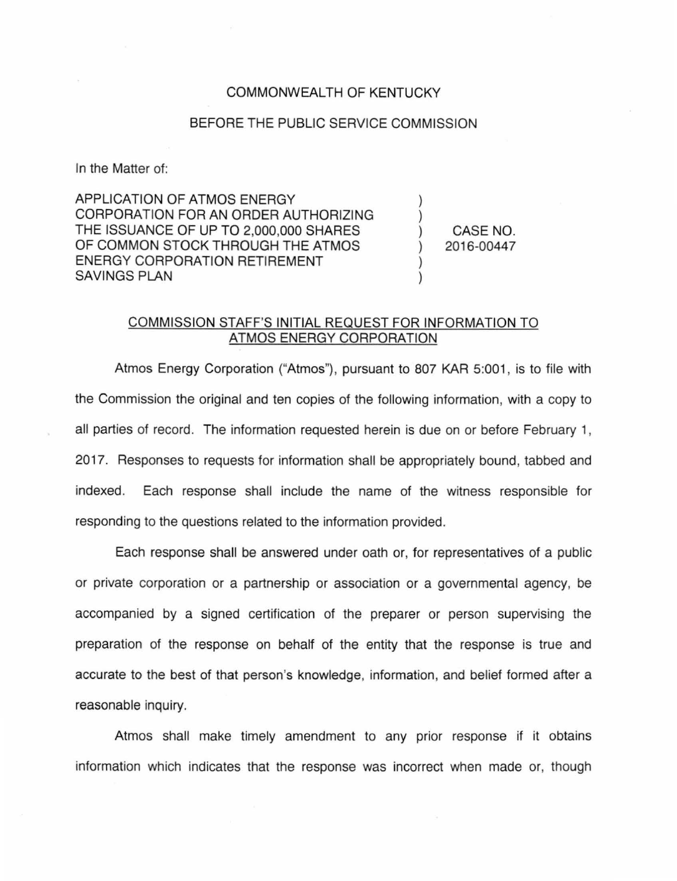## COMMONWEALTH OF KENTUCKY

## BEFORE THE PUBLIC SERVICE COMMISSION

In the Matter of:

APPLICATION OF ATMOS ENERGY CORPORATION FOR AN ORDER AUTHORIZING THE ISSUANCE OF UP TO 2,000,000 SHARES OF COMMON STOCK THROUGH THE ATMOS ENERGY CORPORATION RETIREMENT SAVINGS PLAN

) CASE NO. 2016-00447

) )

) )

## COMMISSION STAFF'S INITIAL REQUEST FOR INFORMATION TO ATMOS ENERGY CORPORATION

Atmos Energy Corporation ("Atmos"), pursuant to 807 KAR 5:001, is to file with the Commission the original and ten copies of the following information, with a copy to all parties of record. The information requested herein is due on or before February 1, 2017. Responses to requests for information shall be appropriately bound, tabbed and indexed. Each response shall include the name of the witness responsible for responding to the questions related to the information provided.

Each response shall be answered under oath or, for representatives of a public or private corporation or a partnership or association or a governmental agency, be accompanied by a signed certification of the preparer or person supervising the preparation of the response on behalf of the entity that the response is true and accurate to the best of that person's knowledge, information, and belief formed after a reasonable inquiry.

Atmos shall make timely amendment to any prior response if it obtains information which indicates that the response was incorrect when made or, though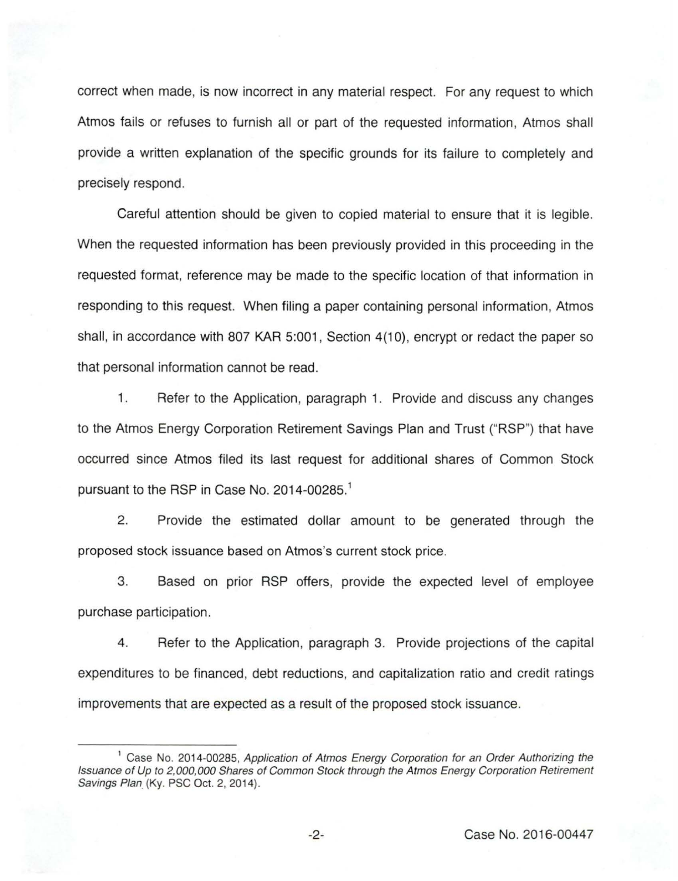correct when made, is now incorrect in any material respect. For any request to which Atmos fails or refuses to furnish all or part of the requested information, Atmos shall provide a written explanation of the specific grounds for its failure to completely and precisely respond.

Careful attention should be given to copied material to ensure that it is legible. When the requested information has been previously provided in this proceeding in the requested format, reference may be made to the specific location of that information in responding to this request. When filing a paper containing personal information, Atmos shall, in accordance with 807 KAR 5:001, Section 4(10), encrypt or redact the paper so that personal information cannot be read.

1. Refer to the Application, paragraph 1. Provide and discuss any changes to the Atmos Energy Corporation Retirement Savings Plan and Trust ("RSP") that have occurred since Atmos filed its last request for additional shares of Common Stock pursuant to the RSP in Case No. 2014-00285. 1

2. Provide the estimated dollar amount to be generated through the proposed stock issuance based on Atmos's current stock price.

3. Based on prior RSP offers, provide the expected level of employee purchase participation.

4. Refer to the Application, paragraph 3. Provide projections of the capital expenditures to be financed, debt reductions, and capitalization ratio and credit ratings improvements that are expected as a result of the proposed stock issuance.

<sup>&</sup>lt;sup>1</sup> Case No. 2014-00285, Application of Atmos Energy Corporation for an Order Authorizing the Issuance of Up to 2,000,000 Shares of Common Stock through the Atmos Energy Corporation Retirement Savings Plan (Ky. PSC Oct. 2, 2014).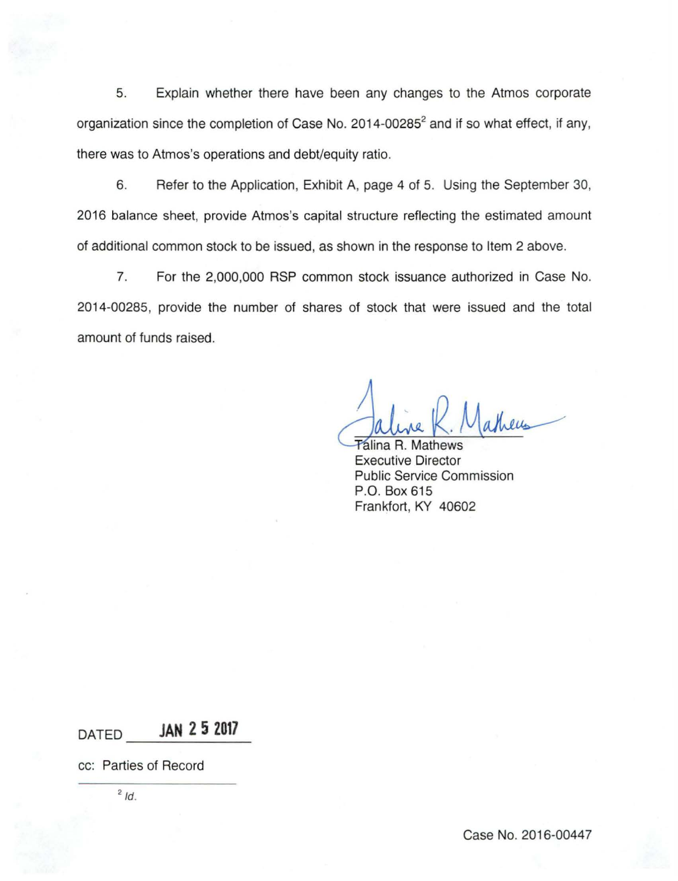5. Explain whether there have been any changes to the Atmos corporate organization since the completion of Case No.  $2014 - 00285^2$  and if so what effect, if any, there was to Atmos's operations and debt/equity ratio.

6. Refer to the Application, Exhibit A, page 4 of 5. Using the September 30, 2016 balance sheet, provide Atmos's capital structure reflecting the estimated amount of additional common stock to be issued, as shown in the response to Item 2 above.

7. For the 2,000,000 RSP common stock issuance authorized in Case No. 2014-00285, provide the number of shares of stock that were issued and the total amount of funds raised.

atheus

**Talina R. Mathews** Executive Director Public Service Commission P.O. Box 615 Frankfort, KY 40602

**DATED JAN 2 5 2017** 

cc: Parties of Record

 $2/d$ .